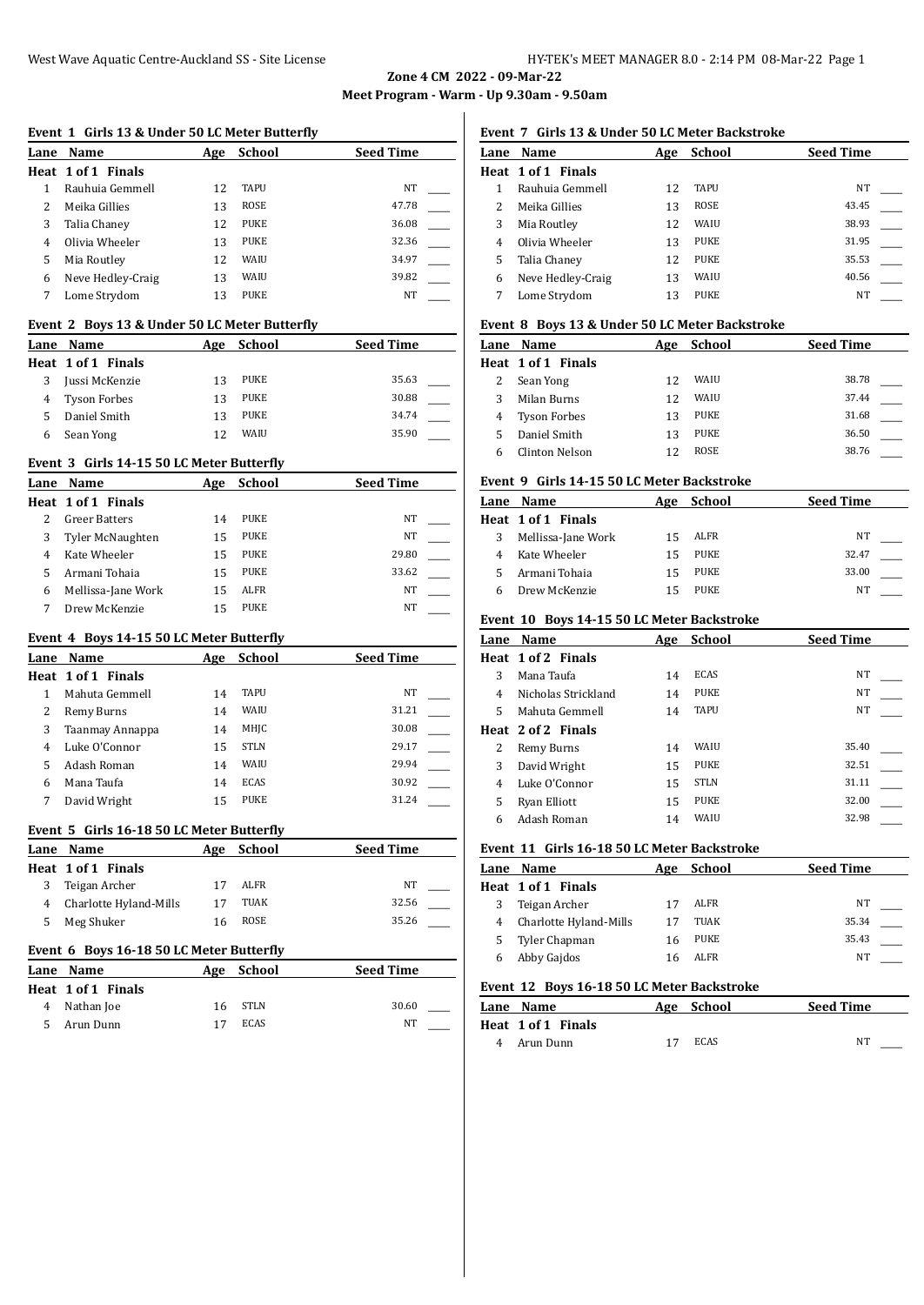**Event 1 Girls 13 & Under 50 LC Meter Butterfly**

**Zone 4 CM 2022 - 09-Mar-22 Meet Program - Warm - Up 9.30am - 9.50am**

| Lane                | Name                                          | <u>Age</u> | <u>School</u> | <b>Seed Time</b> |  |
|---------------------|-----------------------------------------------|------------|---------------|------------------|--|
|                     | Heat 1 of 1 Finals                            |            |               |                  |  |
| 1                   | Rauhuia Gemmell                               | 12         | <b>TAPU</b>   | NT               |  |
| 2                   | Meika Gillies                                 | 13         | <b>ROSE</b>   | 47.78            |  |
| 3                   | Talia Chaney                                  | 12         | PUKE          | 36.08            |  |
| 4                   | Olivia Wheeler                                | 13         | PUKE          | 32.36            |  |
| 5                   | Mia Routley                                   | 12         | WAIU          | 34.97            |  |
| 6                   | Neve Hedley-Craig                             | 13         | WAIU          | 39.82            |  |
| 7                   | Lome Strydom                                  | 13         | PUKE          | NT               |  |
|                     | Event 2 Boys 13 & Under 50 LC Meter Butterfly |            |               |                  |  |
| Lane                | Name                                          | Age        | <b>School</b> | <b>Seed Time</b> |  |
|                     | Heat 1 of 1 Finals                            |            |               |                  |  |
| 3                   | Jussi McKenzie                                | 13         | PUKE          | 35.63            |  |
| 4                   | <b>Tyson Forbes</b>                           | 13         | PUKE          | 30.88            |  |
| 5                   | Daniel Smith                                  | 13         | <b>PUKE</b>   | 34.74            |  |
| 6                   | Sean Yong                                     | 12         | WAIU          | 35.90            |  |
|                     | Event 3 Girls 14-15 50 LC Meter Butterfly     |            |               |                  |  |
|                     |                                               |            | <b>School</b> | <b>Seed Time</b> |  |
| Lane                | Name                                          | Age        |               |                  |  |
| 2                   | Heat 1 of 1 Finals                            |            | <b>PUKE</b>   | NT               |  |
|                     | <b>Greer Batters</b>                          | 14         | <b>PUKE</b>   | NT               |  |
| 3<br>$\overline{4}$ | Tyler McNaughten                              | 15<br>15   | PUKE          | 29.80            |  |
|                     | Kate Wheeler                                  |            | <b>PUKE</b>   | 33.62            |  |
| 5                   | Armani Tohaia                                 | 15         |               |                  |  |
| 6                   | Mellissa-Jane Work                            | 15         | <b>ALFR</b>   | NT               |  |
| 7                   | Drew McKenzie                                 | 15         | PUKE          | NT               |  |
|                     | Event 4 Boys 14-15 50 LC Meter Butterfly      |            |               |                  |  |
|                     | Lane Name                                     |            | Age School    | <b>Seed Time</b> |  |
|                     | Heat 1 of 1 Finals                            |            |               |                  |  |
| $\mathbf{1}$        | Mahuta Gemmell                                | 14         | TAPU          | NT               |  |
| 2                   | Remy Burns                                    | 14         | WAIU          | 31.21            |  |
| 3                   | Taanmay Annappa                               | 14         | MHJC          | 30.08            |  |
| 4                   | Luke O'Connor                                 | 15         | STLN          | 29.17            |  |
| 5                   | Adash Roman                                   | 14         | WAIU          | 29.94            |  |
| 6                   | Mana Taufa                                    | 14         | ECAS          | 30.92            |  |
| 7                   | David Wright                                  | 15         | PUKE          | 31.24            |  |
|                     | Event 5 Girls 16-18 50 LC Meter Butterfly     |            |               |                  |  |
| Lane                | <u>Name</u>                                   | <u>Age</u> | <b>School</b> | <b>Seed Time</b> |  |
|                     | Heat 1 of 1 Finals                            |            |               |                  |  |
| 3                   | Teigan Archer                                 | 17         | ALFR          | ΝT               |  |
| 4                   | Charlotte Hyland-Mills                        | 17         | TUAK          | 32.56            |  |
| 5                   | Meg Shuker                                    | 16         | <b>ROSE</b>   | 35.26            |  |
|                     |                                               |            |               |                  |  |
|                     | Event 6 Boys 16-18 50 LC Meter Butterfly      |            |               |                  |  |
| Lane                | <b>Name</b>                                   | Age        | <b>School</b> | <b>Seed Time</b> |  |
| Heat                | 1 of 1 Finals                                 |            |               |                  |  |
| 4                   | Nathan Joe                                    | 16         | STLN          | 30.60            |  |
| 5                   | Arun Dunn                                     | 17         | <b>ECAS</b>   | NT               |  |

# **Event 7 Girls 13 & Under 50 LC Meter Backstroke**

| Lane | Name               | Age | <b>School</b> | <b>Seed Time</b> |
|------|--------------------|-----|---------------|------------------|
|      | Heat 1 of 1 Finals |     |               |                  |
|      | Rauhuia Gemmell    | 12  | <b>TAPU</b>   | NT               |
|      | Meika Gillies      | 13  | <b>ROSE</b>   | 43.45            |
|      | Mia Routley        | 12  | WAIU          | 38.93            |
| 4    | Olivia Wheeler     | 13  | <b>PUKE</b>   | 31.95            |
| 5    | Talia Chaney       | 12  | <b>PUKE</b>   | 35.53            |
| 6    | Neve Hedley-Craig  | 13  | WAIU          | 40.56            |
|      | Lome Strydom       | 13  | <b>PUKE</b>   | NT               |

#### **Event 8 Boys 13 & Under 50 LC Meter Backstroke**

| Lane Name           | Age | School      | <b>Seed Time</b> |
|---------------------|-----|-------------|------------------|
| Heat 1 of 1 Finals  |     |             |                  |
| Sean Yong           | 12  | WAIU        | 38.78            |
| Milan Burns         | 12  | WAIU        | 37.44            |
| <b>Tyson Forbes</b> | 13  | <b>PUKE</b> | 31.68            |
| Daniel Smith        | 13  | PUKE        | 36.50            |
| Clinton Nelson      | 12  | ROSE        | 38.76            |

### **Event 9 Girls 14-15 50 LC Meter Backstroke**

| Lane Name          | Age | School | <b>Seed Time</b> |  |
|--------------------|-----|--------|------------------|--|
| Heat 1 of 1 Finals |     |        |                  |  |
| Mellissa-Jane Work | 15  | ALFR   | NT               |  |
| Kate Wheeler       | 15  | PUKE   | 32.47            |  |
| Armani Tohaia      | 15  | PUKE   | 33.00            |  |
| Drew McKenzie      | 15  | PUKE   | NΤ               |  |
|                    |     |        |                  |  |

### **Event 10 Boys 14-15 50 LC Meter Backstroke**

| Lane | Name                | Age | <b>School</b> | <b>Seed Time</b> |
|------|---------------------|-----|---------------|------------------|
|      | Heat 1 of 2 Finals  |     |               |                  |
| 3    | Mana Taufa          | 14  | <b>ECAS</b>   | NT               |
| 4    | Nicholas Strickland | 14  | <b>PUKE</b>   | NT               |
| 5    | Mahuta Gemmell      | 14  | <b>TAPU</b>   | <b>NT</b>        |
|      | Heat 2 of 2 Finals  |     |               |                  |
| 2    | Remy Burns          | 14  | WAIU          | 35.40            |
| 3    | David Wright        | 15  | <b>PUKE</b>   | 32.51            |
| 4    | Luke O'Connor       | 15  | <b>STLN</b>   | 31.11            |
| 5    | Ryan Elliott        | 15  | <b>PUKE</b>   | 32.00            |
| 6    | Adash Roman         | 14  | WAIU          | 32.98            |

#### **Event 11 Girls 16-18 50 LC Meter Backstroke**

| Lane | Name                   | Age | <b>School</b> | <b>Seed Time</b> |  |
|------|------------------------|-----|---------------|------------------|--|
|      | Heat 1 of 1 Finals     |     |               |                  |  |
|      | Teigan Archer          | 17  | ALFR          | NT               |  |
| 4    | Charlotte Hyland-Mills | 17  | TUAK          | 35.34            |  |
|      | Tyler Chapman          | 16  | PUKE          | 35.43            |  |
|      | Abby Gajdos            | 16  | ALFR          | NΤ               |  |

#### **Event 12 Boys 16-18 50 LC Meter Backstroke**

| Lane Name          | Age School | <b>Seed Time</b> |
|--------------------|------------|------------------|
| Heat 1 of 1 Finals |            |                  |
| 4 Arun Dunn        | ECAS       | NT               |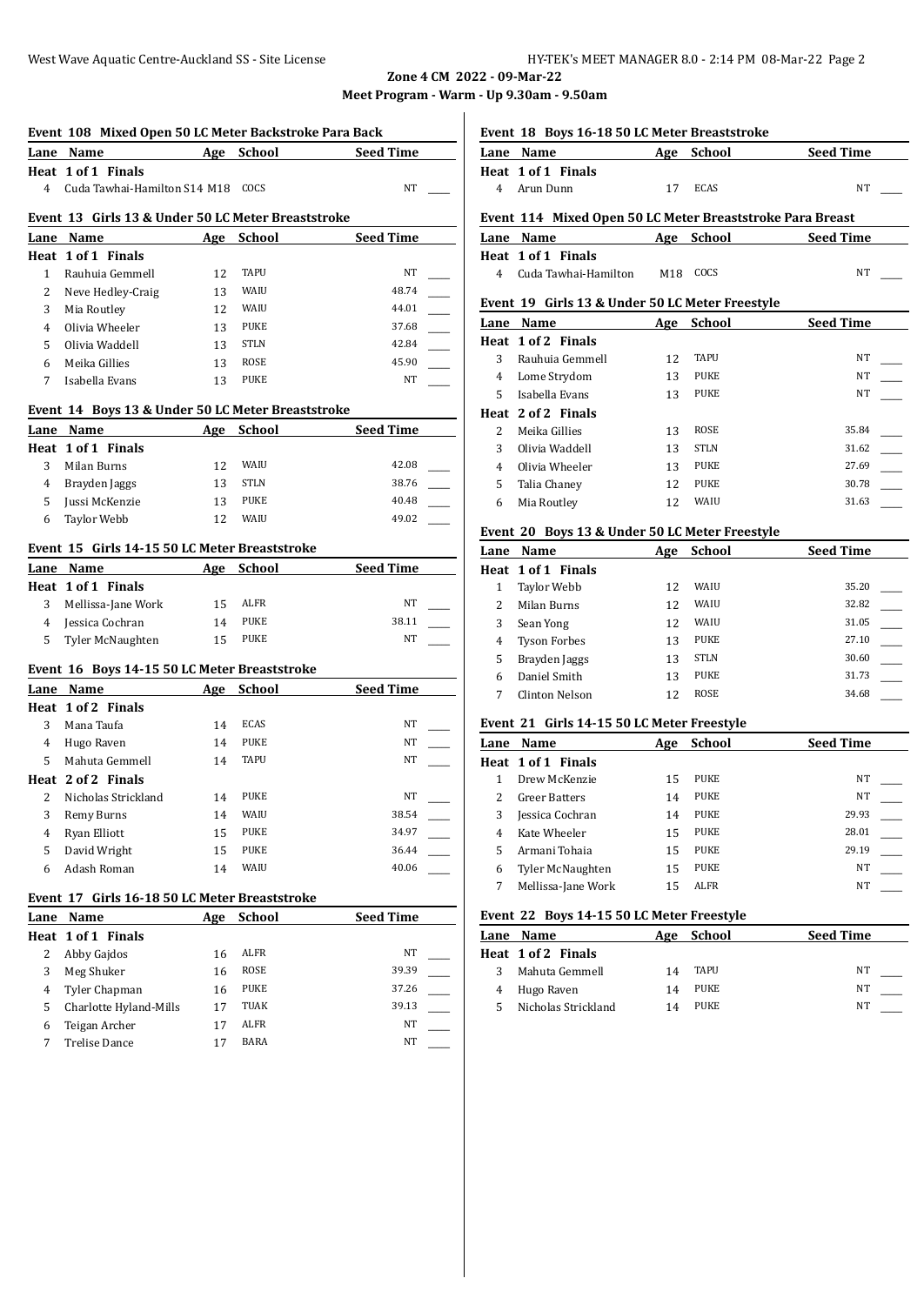**Zone 4 CM 2022 - 09-Mar-22 Meet Program - Warm - Up 9.30am - 9.50am**

|                      | Event 108 Mixed Open 50 LC Meter Backstroke Para Back<br>Lane Name | Age      | School      | <b>Seed Time</b> |
|----------------------|--------------------------------------------------------------------|----------|-------------|------------------|
|                      | Heat 1 of 1 Finals                                                 |          |             |                  |
| 4                    | Cuda Tawhai-Hamilton S14 M18                                       |          | COCS        | NT               |
|                      |                                                                    |          |             |                  |
|                      | Event 13 Girls 13 & Under 50 LC Meter Breaststroke                 |          |             |                  |
|                      | Lane Name                                                          | Age      | School      | <b>Seed Time</b> |
|                      | Heat 1 of 1 Finals                                                 |          |             |                  |
| $\mathbf{1}$         | Rauhuia Gemmell                                                    | 12       | <b>TAPU</b> | NT               |
| 2                    | Neve Hedley-Craig                                                  | 13       | WAIU        | 48.74            |
| 3                    | Mia Routley                                                        | 12       | WAIU        | 44.01            |
| 4                    | Olivia Wheeler                                                     | 13       | <b>PUKE</b> | 37.68            |
| 5                    | Olivia Waddell                                                     | 13       | <b>STLN</b> | 42.84            |
| 6                    | Meika Gillies                                                      | 13       | <b>ROSE</b> | 45.90            |
| 7                    | Isabella Evans                                                     | 13       | <b>PUKE</b> | NT               |
|                      |                                                                    |          |             |                  |
|                      | Event 14 Boys 13 & Under 50 LC Meter Breaststroke                  |          |             |                  |
| Lane                 | Name<br>Heat 1 of 1 Finals                                         | Age      | School      | <b>Seed Time</b> |
| 3                    | Milan Burns                                                        | 12       | WAIU        | 42.08            |
|                      |                                                                    |          | <b>STLN</b> | 38.76            |
| $\overline{4}$<br>5. | Brayden Jaggs<br>Jussi McKenzie                                    | 13<br>13 | <b>PUKE</b> | 40.48            |
|                      | <b>Taylor Webb</b>                                                 |          | WAIU        | 49.02            |
| 6                    |                                                                    | 12       |             |                  |
|                      | Event 15 Girls 14-15 50 LC Meter Breaststroke                      |          |             |                  |
|                      | Lane Name                                                          | Age      | School      | <b>Seed Time</b> |
|                      | Heat 1 of 1 Finals                                                 |          |             |                  |
| 3                    | Mellissa-Jane Work                                                 | 15       | ALFR        | NT               |
| 4                    | Jessica Cochran                                                    | 14       | PUKE        | 38.11            |
| 5                    | Tyler McNaughten                                                   | 15       | PUKE        | NT               |
|                      |                                                                    |          |             |                  |
|                      | Event 16 Boys 14-15 50 LC Meter Breaststroke                       |          |             |                  |
|                      | Lane Name                                                          | Age      | School      | <b>Seed Time</b> |
|                      | Heat 1 of 2 Finals<br>Mana Taufa                                   | 14       | <b>ECAS</b> | NT               |
| 3                    | Hugo Raven                                                         |          | PUKE        | NT               |
|                      |                                                                    |          |             |                  |
| 4                    |                                                                    | 14       |             |                  |
| 5.                   | Mahuta Gemmell                                                     | 14       | <b>TAPU</b> | NT               |
|                      | Heat 2 of 2 Finals                                                 |          |             |                  |
| 2                    | Nicholas Strickland                                                | 14       | <b>PUKE</b> | NT               |
| 3                    | Remy Burns                                                         | 14       | WAIU        | 38.54            |
| 4                    | Ryan Elliott                                                       | 15       | PUKE        | 34.97            |
| 5                    | David Wright                                                       | 15       | PUKE        | 36.44            |
| 6                    | Adash Roman                                                        | 14       | WAIU        | 40.06            |
|                      | Event 17 Girls 16-18 50 LC Meter Breaststroke                      |          |             |                  |
|                      | Lane Name                                                          | Age      | School      | <b>Seed Time</b> |
| Heat                 | 1 of 1 Finals                                                      |          |             |                  |
| 2                    | Abby Gajdos                                                        | 16       | <b>ALFR</b> | ΝT               |
| 3                    | Meg Shuker                                                         | 16       | ROSE        | 39.39            |
| $\overline{4}$       | Tyler Chapman                                                      | 16       | PUKE        | 37.26            |
| 5                    | Charlotte Hyland-Mills                                             | 17       | TUAK        | 39.13            |
| 6                    | Teigan Archer                                                      | 17       | ALFR        | NT               |

**Event 18 Boys 16-18 50 LC Meter Breaststroke**

| Lane Name                                                 | Age | School | <b>Seed Time</b> |
|-----------------------------------------------------------|-----|--------|------------------|
| Heat 1 of 1 Finals                                        |     |        |                  |
| 4 Arun Dunn                                               | 17  | ECAS   | NT               |
| Event 114 Mixed Open 50 LC Meter Breaststroke Para Breast |     |        |                  |
|                                                           |     |        |                  |
| Lane Name                                                 | Age | School | <b>Seed Time</b> |
| Heat 1 of 1 Finals                                        |     |        |                  |

| 4 Cuda Tawhai-Hamilton | M <sub>18</sub> COCS | NT |
|------------------------|----------------------|----|
|                        |                      |    |

# **Event 19 Girls 13 & Under 50 LC Meter Freestyle**

| Lane           | Name               | Age | <b>School</b> | <b>Seed Time</b> |
|----------------|--------------------|-----|---------------|------------------|
|                | Heat 1 of 2 Finals |     |               |                  |
| 3              | Rauhuia Gemmell    | 12  | <b>TAPU</b>   | <b>NT</b>        |
| 4              | Lome Strydom       | 13  | <b>PUKE</b>   | NT               |
| 5.             | Isabella Evans     | 13  | <b>PUKE</b>   | NT               |
|                | Heat 2 of 2 Finals |     |               |                  |
| 2              | Meika Gillies      | 13  | <b>ROSE</b>   | 35.84            |
| 3              | Olivia Waddell     | 13  | <b>STLN</b>   | 31.62            |
| $\overline{4}$ | Olivia Wheeler     | 13  | <b>PUKE</b>   | 27.69            |
| 5              | Talia Chaney       | 12  | <b>PUKE</b>   | 30.78            |
| 6              | Mia Routley        | 12  | WAIU          | 31.63            |
|                |                    |     |               |                  |

### **Event 20 Boys 13 & Under 50 LC Meter Freestyle**

| <b>Seed Time</b> |
|------------------|
|                  |
| 35.20            |
| 32.82            |
| 31.05            |
| 27.10            |
| 30.60            |
| 31.73            |
| 34.68            |
|                  |

## **Event 21 Girls 14-15 50 LC Meter Freestyle**

|   | Lane Name               | Age | <b>School</b> | <b>Seed Time</b> |  |
|---|-------------------------|-----|---------------|------------------|--|
|   | Heat 1 of 1 Finals      |     |               |                  |  |
|   | Drew McKenzie           | 15  | <b>PUKE</b>   | NT               |  |
|   | <b>Greer Batters</b>    | 14  | <b>PUKE</b>   | NT               |  |
| 3 | Jessica Cochran         | 14  | <b>PUKE</b>   | 29.93            |  |
| 4 | Kate Wheeler            | 15  | <b>PUKE</b>   | 28.01            |  |
| 5 | Armani Tohaia           | 15  | <b>PUKE</b>   | 29.19            |  |
| 6 | <b>Tyler McNaughten</b> | 15  | <b>PUKE</b>   | NT               |  |
|   | Mellissa-Jane Work      | 15  | <b>ALFR</b>   | NT               |  |
|   |                         |     |               |                  |  |

## **Event 22 Boys 14-15 50 LC Meter Freestyle**

|  | Lane Name           | Age | School | <b>Seed Time</b> |
|--|---------------------|-----|--------|------------------|
|  | Heat 1 of 2 Finals  |     |        |                  |
|  | Mahuta Gemmell      | 14  | TAPU   | NT               |
|  | Hugo Raven          | 14  | PUKE   | NT               |
|  | Nicholas Strickland | 14  | PUKE   | NT               |